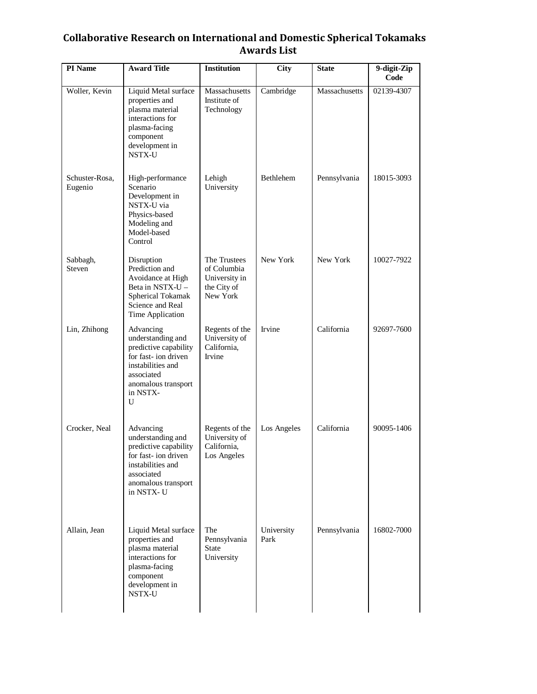## **Collaborative Research on International and Domestic Spherical Tokamaks Awards List**

| PI Name                   | <b>Award Title</b>                                                                                                                                        | <b>Institution</b>                                                      | <b>City</b>        | <b>State</b>  | 9-digit-Zip<br>Code |
|---------------------------|-----------------------------------------------------------------------------------------------------------------------------------------------------------|-------------------------------------------------------------------------|--------------------|---------------|---------------------|
| Woller, Kevin             | Liquid Metal surface<br>properties and<br>plasma material<br>interactions for<br>plasma-facing<br>component<br>development in<br>NSTX-U                   | Massachusetts<br>Institute of<br>Technology                             | Cambridge          | Massachusetts | 02139-4307          |
| Schuster-Rosa.<br>Eugenio | High-performance<br>Scenario<br>Development in<br>NSTX-U via<br>Physics-based<br>Modeling and<br>Model-based<br>Control                                   | Lehigh<br>University                                                    | Bethlehem          | Pennsylvania  | 18015-3093          |
| Sabbagh,<br>Steven        | Disruption<br>Prediction and<br>Avoidance at High<br>Beta in NSTX-U -<br>Spherical Tokamak<br>Science and Real<br>Time Application                        | The Trustees<br>of Columbia<br>University in<br>the City of<br>New York | New York           | New York      | 10027-7922          |
| Lin, Zhihong              | Advancing<br>understanding and<br>predictive capability<br>for fast-ion driven<br>instabilities and<br>associated<br>anomalous transport<br>in NSTX-<br>U | Regents of the<br>University of<br>California,<br>Irvine                | Irvine             | California    | 92697-7600          |
| Crocker, Neal             | Advancing<br>understanding and<br>predictive capability<br>for fast- ion driven<br>instabilities and<br>associated<br>anomalous transport<br>in NSTX-U    | Regents of the<br>University of<br>California,<br>Los Angeles           | Los Angeles        | California    | 90095-1406          |
| Allain, Jean              | Liquid Metal surface<br>properties and<br>plasma material<br>interactions for<br>plasma-facing<br>component<br>development in<br>NSTX-U                   | The<br>Pennsylvania<br><b>State</b><br>University                       | University<br>Park | Pennsylvania  | 16802-7000          |